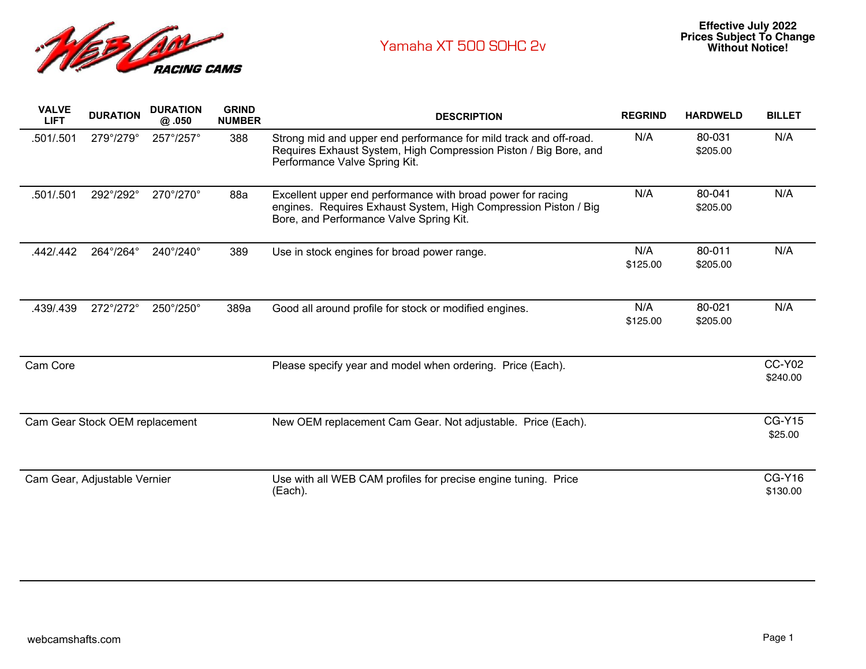

| <b>VALVE</b><br><b>LIFT</b>    | <b>DURATION</b> | <b>DURATION</b><br>@.050 | <b>GRIND</b><br><b>NUMBER</b> | <b>DESCRIPTION</b>                                                                                                                                                        | <b>REGRIND</b>  | <b>HARDWELD</b>    | <b>BILLET</b>             |
|--------------------------------|-----------------|--------------------------|-------------------------------|---------------------------------------------------------------------------------------------------------------------------------------------------------------------------|-----------------|--------------------|---------------------------|
| .501/.501                      | 279°/279°       | 257°/257°                | 388                           | Strong mid and upper end performance for mild track and off-road.<br>Requires Exhaust System, High Compression Piston / Big Bore, and<br>Performance Valve Spring Kit.    | N/A             | 80-031<br>\$205.00 | N/A                       |
| .501/.501                      | 292°/292°       | 270°/270°                | 88a                           | Excellent upper end performance with broad power for racing<br>engines. Requires Exhaust System, High Compression Piston / Big<br>Bore, and Performance Valve Spring Kit. | N/A             | 80-041<br>\$205.00 | N/A                       |
| .442/.442                      | 264°/264°       | 240°/240°                | 389                           | Use in stock engines for broad power range.                                                                                                                               | N/A<br>\$125.00 | 80-011<br>\$205.00 | N/A                       |
| .439/.439                      | 272°/272°       | 250°/250°                | 389a                          | Good all around profile for stock or modified engines.                                                                                                                    | N/A<br>\$125.00 | 80-021<br>\$205.00 | N/A                       |
| Cam Core                       |                 |                          |                               | Please specify year and model when ordering. Price (Each).                                                                                                                |                 |                    | <b>CC-Y02</b><br>\$240.00 |
| Cam Gear Stock OEM replacement |                 |                          |                               | New OEM replacement Cam Gear. Not adjustable. Price (Each).                                                                                                               |                 |                    | <b>CG-Y15</b><br>\$25.00  |
| Cam Gear, Adjustable Vernier   |                 |                          |                               | Use with all WEB CAM profiles for precise engine tuning. Price<br>(Each).                                                                                                 |                 |                    | <b>CG-Y16</b><br>\$130.00 |